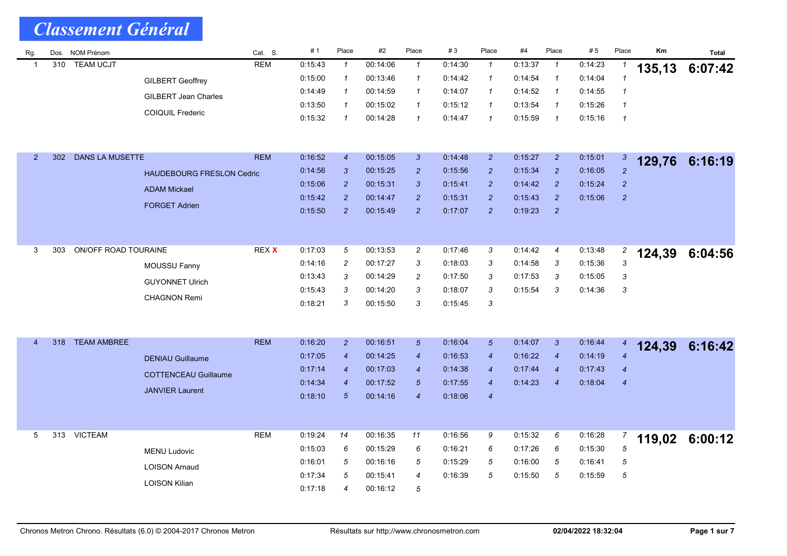| Rg.            |     | Dos. NOM Prénom        |                                  | Cat. S.    | #1      | Place            | #2       | Place            | #3      | Place            | #4      | Place                      | #5      | Place            | Km     | <b>Total</b> |
|----------------|-----|------------------------|----------------------------------|------------|---------|------------------|----------|------------------|---------|------------------|---------|----------------------------|---------|------------------|--------|--------------|
| -1             | 310 | <b>TEAM UCJT</b>       |                                  | <b>REM</b> | 0:15:43 | $\mathbf{1}$     | 00:14:06 | $\mathcal{I}$    | 0:14:30 | $\mathbf{1}$     | 0:13:37 | $\mathbf{1}$               | 0:14:23 | 1                | 135,13 | 6:07:42      |
|                |     |                        | <b>GILBERT Geoffrey</b>          |            | 0:15:00 | $\mathcal I$     | 00:13:46 | $\mathcal I$     | 0:14.42 | $\mathcal I$     | 0:14:54 | $\boldsymbol{\mathcal{1}}$ | 0:14:04 | $\mathbf{1}$     |        |              |
|                |     |                        | <b>GILBERT Jean Charles</b>      |            | 0:14:49 | $\mathbf{1}$     | 00:14:59 | $\mathbf{1}$     | 0:14:07 | $\mathcal I$     | 0:14:52 | $\boldsymbol{\mathcal{1}}$ | 0:14:55 | $\mathbf{1}$     |        |              |
|                |     |                        | <b>COIQUIL Frederic</b>          |            | 0:13:50 | $\mathcal I$     | 00:15:02 | $\mathcal I$     | 0:15:12 | $\mathcal I$     | 0:13:54 | $\mathcal I$               | 0:15:26 | $\mathcal I$     |        |              |
|                |     |                        |                                  |            | 0:15:32 | $\mathcal I$     | 00:14:28 | $\mathbf{1}$     | 0.14.47 | $\mathbf{1}$     | 0.15.59 | $\mathcal I$               | 0:15:16 | $\mathbf{1}$     |        |              |
|                |     |                        |                                  |            |         |                  |          |                  |         |                  |         |                            |         |                  |        |              |
|                |     |                        |                                  |            |         |                  |          |                  |         |                  |         |                            |         |                  |        |              |
| 2 <sup>2</sup> | 302 | <b>DANS LA MUSETTE</b> |                                  | <b>REM</b> | 0:16:52 | $\boldsymbol{4}$ | 00:15:05 | 3 <sup>1</sup>   | 0:14.48 | $\overline{2}$   | 0.15.27 | $\overline{a}$             | 0:15:01 | 3                | 129,76 | 6:16:19      |
|                |     |                        | <b>HAUDEBOURG FRESLON Cedric</b> |            | 0.14.56 | $\mathbf{3}$     | 00:15:25 | $\overline{2}$   | 0.15.56 | $\overline{c}$   | 0:15:34 | $\overline{c}$             | 0.16.05 | $\overline{2}$   |        |              |
|                |     |                        | <b>ADAM Mickael</b>              |            | 0:15:06 | $\overline{c}$   | 00:15:31 | 3                | 0:15.41 | $\overline{2}$   | 0:14:42 | $\overline{c}$             | 0:15:24 | $\overline{c}$   |        |              |
|                |     |                        | <b>FORGET Adrien</b>             |            | 0:15:42 | $\overline{c}$   | 00:14:47 | $\overline{c}$   | 0:15:31 | $\overline{c}$   | 0:15:43 | $\overline{c}$             | 0:15:06 | $\boldsymbol{2}$ |        |              |
|                |     |                        |                                  |            | 0:15:50 | $\overline{2}$   | 00:15:49 | $\overline{2}$   | 0:17:07 | $\overline{c}$   | 0:19:23 | $\overline{2}$             |         |                  |        |              |
|                |     |                        |                                  |            |         |                  |          |                  |         |                  |         |                            |         |                  |        |              |
| 3              | 303 | ON/OFF ROAD TOURAINE   |                                  | REX X      | 0:17:03 | 5                | 00:13:53 | $\overline{c}$   | 0.17.46 | 3                | 0:14:42 | 4                          | 0:13:48 | 2                |        |              |
|                |     |                        |                                  |            | 0:14:16 | $\overline{c}$   | 00:17:27 | 3                | 0:18:03 | 3                | 0.14.58 | 3                          | 0:15:36 | 3                | 124,39 | 6:04:56      |
|                |     |                        | MOUSSU Fanny                     |            | 0:13:43 | 3                | 00:14:29 | $\overline{c}$   | 0:17:50 | 3                | 0:17:53 | 3                          | 0:15:05 | 3                |        |              |
|                |     |                        | <b>GUYONNET Ulrich</b>           |            | 0.15.43 | 3                | 00:14:20 | 3                | 0:18:07 | 3                | 0:15:54 | 3                          | 0:14:36 | 3                |        |              |
|                |     |                        | <b>CHAGNON Remi</b>              |            | 0:18:21 | 3                | 00:15:50 | 3                | 0:15:45 | 3                |         |                            |         |                  |        |              |
|                |     |                        |                                  |            |         |                  |          |                  |         |                  |         |                            |         |                  |        |              |
|                |     |                        |                                  |            |         |                  |          |                  |         |                  |         |                            |         |                  |        |              |
| $\overline{4}$ | 318 | <b>TEAM AMBREE</b>     |                                  | <b>REM</b> | 0:16:20 | $\overline{2}$   | 00:16:51 | $\sqrt{5}$       | 0:16:04 | $\sqrt{5}$       | 0.14.07 | 3                          | 0:16:44 | $\overline{4}$   |        |              |
|                |     |                        | <b>DENIAU Guillaume</b>          |            | 0:17:05 | $\overline{4}$   | 00:14:25 | $\overline{4}$   | 0:16:53 | $\overline{4}$   | 0:16:22 | $\overline{4}$             | 0:14:19 | $\overline{4}$   | 124,39 | 6:16:42      |
|                |     |                        |                                  |            | 0:17:14 | $\boldsymbol{4}$ | 00:17:03 | $\boldsymbol{4}$ | 0:14:38 | $\boldsymbol{4}$ | 0:17:44 | $\boldsymbol{4}$           | 0.17.43 | $\boldsymbol{4}$ |        |              |
|                |     |                        | <b>COTTENCEAU Guillaume</b>      |            | 0.14:34 | $\boldsymbol{4}$ | 00:17:52 | 5 <sup>5</sup>   | 0.17.55 | $\overline{4}$   | 0.14.23 | $\overline{4}$             | 0.18.04 | $\boldsymbol{4}$ |        |              |
|                |     |                        | <b>JANVIER Laurent</b>           |            | 0:18:10 | $\sqrt{5}$       | 00:14:16 | $\overline{4}$   | 0:18:06 | $\boldsymbol{4}$ |         |                            |         |                  |        |              |
|                |     |                        |                                  |            |         |                  |          |                  |         |                  |         |                            |         |                  |        |              |
|                |     |                        |                                  |            |         |                  |          |                  |         |                  |         |                            |         |                  |        |              |
| 5              | 313 | <b>VICTEAM</b>         |                                  | <b>REM</b> | 0.19:24 | 14               | 00:16:35 | 11               | 0:16:56 | 9                | 0:15:32 | 6                          | 0.16.28 | 7                | 119,02 | 6:00:12      |
|                |     |                        | <b>MENU Ludovic</b>              |            | 0:15:03 | 6                | 00:15:29 | 6                | 0:16:21 | 6                | 0:17:26 | 6                          | 0:15:30 | 5                |        |              |
|                |     |                        | <b>LOISON Arnaud</b>             |            | 0:16:01 | 5                | 00:16:16 | 5                | 0:15:29 | 5                | 0:16:00 | 5                          | 0:16:41 | 5                |        |              |
|                |     |                        |                                  |            | 0:17:34 | 5                | 00:15:41 | $\overline{4}$   | 0:16:39 | 5                | 0:15:50 | 5                          | 0:15:59 | 5                |        |              |
|                |     |                        | <b>LOISON Kilian</b>             |            | 0:17:18 | 4                | 00:16:12 | 5                |         |                  |         |                            |         |                  |        |              |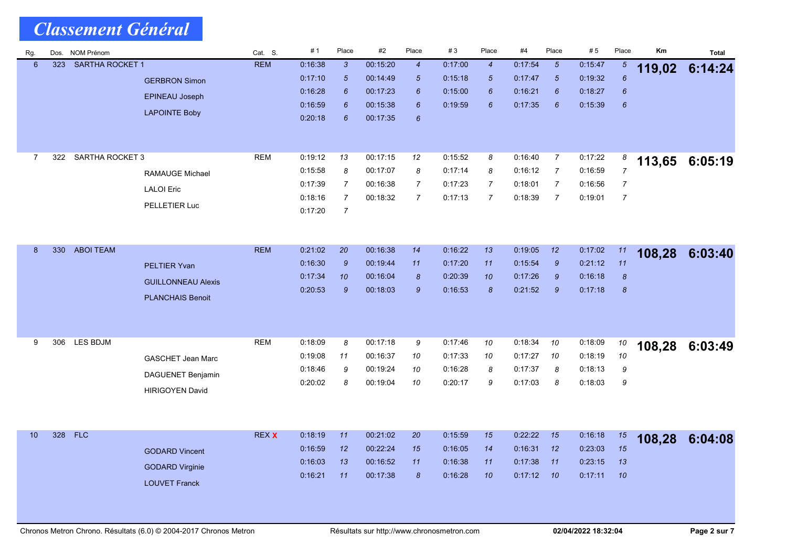| Rg.            | Dos. | <b>NOM Prénom</b>      |                           | Cat. S.      | #1                 | Place          | #2                   | Place            | #3                 | Place          | #4                 | Place                 | # 5                | Place            | Кm     | <b>Total</b> |
|----------------|------|------------------------|---------------------------|--------------|--------------------|----------------|----------------------|------------------|--------------------|----------------|--------------------|-----------------------|--------------------|------------------|--------|--------------|
| 6              | 323  | <b>SARTHA ROCKET 1</b> |                           | <b>REM</b>   | 0:16:38            | $\mathfrak{3}$ | 00:15:20             | $\boldsymbol{4}$ | 0.17:00            | $\overline{4}$ | 0.17.54            | $5\overline{5}$       | 0:15:47            | 5                | 119,02 | 6:14:24      |
|                |      |                        | <b>GERBRON Simon</b>      |              | 0.17.10            | $\sqrt{5}$     | 00:14:49             | $\sqrt{5}$       | 0:15:18            | $\sqrt{5}$     | 0.17.47            | $\sqrt{5}$            | 0:19:32            | $6\overline{6}$  |        |              |
|                |      |                        | <b>EPINEAU Joseph</b>     |              | 0.16.28<br>0:16:59 | 6<br>6         | 00:17:23<br>00:15:38 | 6<br>6           | 0:15:00<br>0:19:59 | 6<br>6         | 0:16:21<br>0.17.35 | $\boldsymbol{6}$<br>6 | 0:18:27<br>0:15:39 | 6                |        |              |
|                |      |                        | <b>LAPOINTE Boby</b>      |              | 0.20:18            | 6              | 00:17:35             | 6                |                    |                |                    |                       |                    | 6                |        |              |
|                |      |                        |                           |              |                    |                |                      |                  |                    |                |                    |                       |                    |                  |        |              |
|                |      |                        |                           |              |                    |                |                      |                  |                    |                |                    |                       |                    |                  |        |              |
| $\overline{7}$ | 322  | <b>SARTHA ROCKET 3</b> |                           | <b>REM</b>   | 0:19:12            | 13             | 00:17:15             | 12               | 0:15:52            | 8              | 0:16:40            | $\overline{7}$        | 0:17:22            | 8                | 113,65 | 6:05:19      |
|                |      |                        | <b>RAMAUGE Michael</b>    |              | 0:15:58            | 8              | 00:17:07             | 8                | 0:17:14            | 8              | 0:16:12            | $\overline{7}$        | 0:16:59            | $\overline{7}$   |        |              |
|                |      |                        | <b>LALOI</b> Eric         |              | 0.17:39            | 7              | 00:16:38             | $\overline{7}$   | 0:17:23            | 7              | 0.18.01            | $\overline{7}$        | 0:16:56            | 7                |        |              |
|                |      |                        | PELLETIER Luc             |              | 0:18:16            | $\overline{7}$ | 00:18:32             | $\overline{7}$   | 0:17:13            | $\overline{7}$ | 0:18:39            | $\overline{7}$        | 0:19:01            | $\overline{7}$   |        |              |
|                |      |                        |                           |              | 0:17:20            | $\overline{7}$ |                      |                  |                    |                |                    |                       |                    |                  |        |              |
|                |      |                        |                           |              |                    |                |                      |                  |                    |                |                    |                       |                    |                  |        |              |
| 8              | 330  | <b>ABOI TEAM</b>       |                           | <b>REM</b>   | 0:21:02            | 20             | 00:16:38             | 14               | 0:16:22            | 13             | 0:19:05            | 12                    | 0.17.02            | 11               | 108,28 | 6:03:40      |
|                |      |                        | <b>PELTIER Yvan</b>       |              | 0:16:30            | $\mathcal{G}$  | 00:19:44             | 11               | 0:17:20            | 11             | 0:15:54            | $\mathcal{G}$         | 0:21:12            | 11               |        |              |
|                |      |                        | <b>GUILLONNEAU Alexis</b> |              | 0.17.34            | 10             | 00:16:04             | $\pmb{8}$        | 0:20:39            | 10             | 0.17:26            | $\boldsymbol{9}$      | 0:16:18            | $\pmb{8}$        |        |              |
|                |      |                        |                           |              | 0.20:53            | $\mathcal{G}$  | 00:18:03             | 9                | 0:16:53            | 8              | 0.21:52            | $\mathcal{G}$         | 0:17:18            | $\boldsymbol{8}$ |        |              |
|                |      |                        | <b>PLANCHAIS Benoit</b>   |              |                    |                |                      |                  |                    |                |                    |                       |                    |                  |        |              |
|                |      |                        |                           |              |                    |                |                      |                  |                    |                |                    |                       |                    |                  |        |              |
| 9              | 306  | LES BDJM               |                           | <b>REM</b>   | 0.18:09            | 8              | 00:17:18             | 9                | 0:17:46            | 10             | 0:18:34            | 10                    | 0:18.09            |                  |        |              |
|                |      |                        |                           |              | 0:19:08            | 11             | 00:16:37             | 10               | 0:17:33            | 10             | 0:17:27            | 10                    | 0:18:19            | 10<br>10         | 108,28 | 6:03:49      |
|                |      |                        | <b>GASCHET Jean Marc</b>  |              | 0.18.46            | 9              | 00:19:24             | 10               | 0:16:28            | 8              | 0.17.37            | 8                     | 0:18:13            | 9                |        |              |
|                |      |                        | <b>DAGUENET Benjamin</b>  |              | 0.20:02            | 8              | 00:19:04             | 10               | 0:20:17            | 9              | 0:17:03            | 8                     | 0:18:03            | 9                |        |              |
|                |      |                        | <b>HIRIGOYEN David</b>    |              |                    |                |                      |                  |                    |                |                    |                       |                    |                  |        |              |
|                |      |                        |                           |              |                    |                |                      |                  |                    |                |                    |                       |                    |                  |        |              |
|                |      |                        |                           |              |                    |                |                      |                  |                    |                |                    |                       |                    |                  |        |              |
| 10             | 328  | <b>FLC</b>             |                           | <b>REX X</b> | 0:18:19            | 11             | 00:21:02             | 20               | 0.15.59            | 15             | 0.22:22            | 15                    | 0:16:18            | $15\,$           | 108,28 | 6:04:08      |
|                |      |                        | <b>GODARD Vincent</b>     |              | 0.16.59            | 12             | 00:22:24             | 15               | 0:16:05            | 14             | 0:16:31            | 12                    | 0.23.03            | 15               |        |              |
|                |      |                        | <b>GODARD Virginie</b>    |              | 0.16.03            | 13             | 00:16:52             | 11               | 0.16.38            | 11             | 0:17:38            | 11                    | 0:23:15            | 13               |        |              |
|                |      |                        | <b>LOUVET Franck</b>      |              | 0.16.21            | 11             | 00:17:38             | $\pmb{8}$        | 0.16:28            | 10             | 0:17:12            | 10                    | 0:17:11            | 10               |        |              |
|                |      |                        |                           |              |                    |                |                      |                  |                    |                |                    |                       |                    |                  |        |              |
|                |      |                        |                           |              |                    |                |                      |                  |                    |                |                    |                       |                    |                  |        |              |

Chronos Metron Chrono. Résultats (6.0) © 2004-2017 Chronos Metron **Résultats sur http://www.chronosmetron.com** 02/04/2022 18:32:04 Page 2 sur 7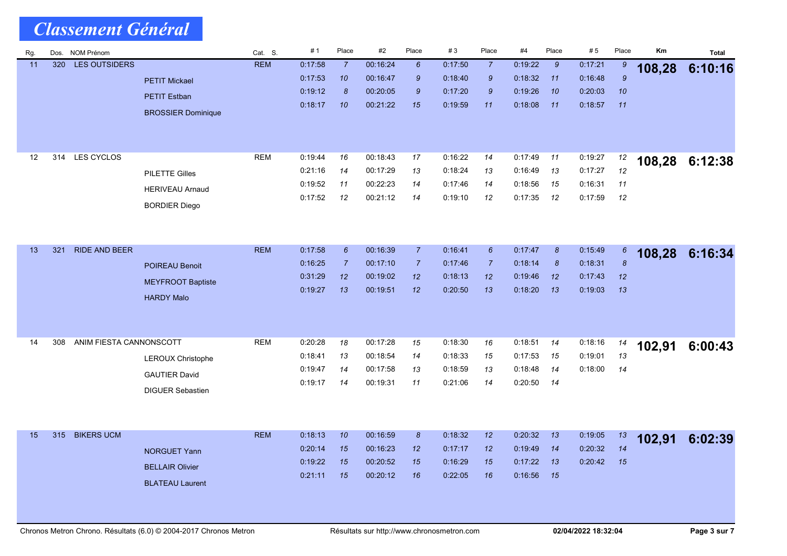| Rg. | Dos. | NOM Prénom              |                           | Cat. S.    | #1      | Place           | #2       | Place           | #3      | Place           | #4      | Place                 | #5      | Place            | Km     | <b>Total</b>   |
|-----|------|-------------------------|---------------------------|------------|---------|-----------------|----------|-----------------|---------|-----------------|---------|-----------------------|---------|------------------|--------|----------------|
| 11  | 320  | <b>LES OUTSIDERS</b>    |                           | <b>REM</b> | 0:17:58 | $\overline{7}$  | 00:16:24 | $6\phantom{1}6$ | 0:17:50 | $\overline{7}$  | 0:19:22 | $\mathcal{G}$         | 0:17:21 | 9                | 108,28 | 6:10:16        |
|     |      |                         | <b>PETIT Mickael</b>      |            | 0:17:53 | 10              | 00:16:47 | 9               | 0.18.40 | $\mathcal{G}$   | 0:18:32 | 11                    | 0:16.48 | $\boldsymbol{9}$ |        |                |
|     |      |                         | <b>PETIT Estban</b>       |            | 0:19:12 | 8               | 00:20:05 | $\mathcal{G}$   | 0.17.20 | 9               | 0:19:26 | 10                    | 0:20:03 | 10               |        |                |
|     |      |                         | <b>BROSSIER Dominique</b> |            | 0:18:17 | 10              | 00:21:22 | 15              | 0.19.59 | 11              | 0:18:08 | 11                    | 0:18:57 | 11               |        |                |
|     |      |                         |                           |            |         |                 |          |                 |         |                 |         |                       |         |                  |        |                |
|     |      |                         |                           |            |         |                 |          |                 |         |                 |         |                       |         |                  |        |                |
| 12  | 314  | LES CYCLOS              |                           | <b>REM</b> | 0:19:44 | 16              | 00:18:43 | 17              | 0:16:22 | 14              | 0:17:49 | 11                    | 0.19.27 | 12               |        |                |
|     |      |                         | <b>PILETTE Gilles</b>     |            | 0:21:16 | 14              | 00:17:29 | 13              | 0:18:24 | 13              | 0.16.49 | 13                    | 0:17:27 | 12               |        | 108,28 6:12:38 |
|     |      |                         |                           |            | 0:19:52 | 11              | 00:22:23 | 14              | 0.17.46 | 14              | 0:18:56 | 15                    | 0.16.31 | 11               |        |                |
|     |      |                         | <b>HERIVEAU Arnaud</b>    |            | 0:17:52 | 12              | 00:21:12 | 14              | 0.19.10 | 12              | 0:17:35 | 12                    | 0:17:59 | 12               |        |                |
|     |      |                         | <b>BORDIER Diego</b>      |            |         |                 |          |                 |         |                 |         |                       |         |                  |        |                |
|     |      |                         |                           |            |         |                 |          |                 |         |                 |         |                       |         |                  |        |                |
|     |      |                         |                           |            |         |                 |          |                 |         |                 |         |                       |         |                  |        |                |
| 13  | 321  | <b>RIDE AND BEER</b>    |                           | <b>REM</b> | 0:17:58 | $6\overline{6}$ | 00:16:39 | $\overline{7}$  | 0.16.41 | $6\overline{6}$ | 0:17:47 | $\boldsymbol{\delta}$ | 0:15:49 | 6                | 108,28 | 6:16:34        |
|     |      |                         | <b>POIREAU Benoit</b>     |            | 0:16:25 | $\overline{7}$  | 00:17:10 | $\overline{7}$  | 0.17.46 | 7               | 0:18:14 | 8                     | 0:18:31 | $\boldsymbol{8}$ |        |                |
|     |      |                         | <b>MEYFROOT Baptiste</b>  |            | 0.31.29 | 12              | 00:19:02 | 12              | 0.18.13 | 12 <sup>2</sup> | 0.19:46 | 12                    | 0.17.43 | 12               |        |                |
|     |      |                         | <b>HARDY Malo</b>         |            | 0:19:27 | 13              | 00:19:51 | 12              | 0.20:50 | 13              | 0:18:20 | 13                    | 0.19.03 | 13               |        |                |
|     |      |                         |                           |            |         |                 |          |                 |         |                 |         |                       |         |                  |        |                |
|     |      |                         |                           |            |         |                 |          |                 |         |                 |         |                       |         |                  |        |                |
| 14  | 308  | ANIM FIESTA CANNONSCOTT |                           | <b>REM</b> | 0:20:28 | 18              | 00:17:28 | 15              | 0:18:30 | 16              | 0:18:51 | 14                    | 0:18:16 | 14               |        |                |
|     |      |                         |                           |            | 0:18:41 | 13              | 00:18:54 | 14              | 0.18.33 | 15              | 0:17:53 | 15                    | 0:19:01 | 13               | 102,91 | 6:00:43        |
|     |      |                         | LEROUX Christophe         |            | 0:19:47 | 14              | 00:17:58 | 13              | 0.18.59 | 13              | 0.18.48 | 14                    | 0:18:00 | 14               |        |                |
|     |      |                         | <b>GAUTIER David</b>      |            | 0.19:17 | 14              | 00:19:31 | 11              | 0.21.06 | 14              | 0:20:50 | 14                    |         |                  |        |                |
|     |      |                         | <b>DIGUER Sebastien</b>   |            |         |                 |          |                 |         |                 |         |                       |         |                  |        |                |
|     |      |                         |                           |            |         |                 |          |                 |         |                 |         |                       |         |                  |        |                |
|     |      |                         |                           |            |         |                 |          |                 |         |                 |         |                       |         |                  |        |                |
| 15  | 315  | <b>BIKERS UCM</b>       |                           | <b>REM</b> | 0.18:13 | 10              | 00:16:59 | $\pmb{8}$       | 0:18:32 | 12              | 0:20:32 | 13                    | 0:19:05 | 13               | 102,91 | 6:02:39        |
|     |      |                         | <b>NORGUET Yann</b>       |            | 0:20:14 | 15              | 00:16:23 | 12              | 0:17:17 | 12              | 0:19:49 | 14                    | 0:20:32 | 14               |        |                |
|     |      |                         | <b>BELLAIR Olivier</b>    |            | 0.19:22 | 15              | 00:20:52 | 15              | 0.16.29 | 15              | 0:17:22 | 13                    | 0.20:42 | 15               |        |                |
|     |      |                         | <b>BLATEAU Laurent</b>    |            | 0:21:11 | 15              | 00:20:12 | 16              | 0:22:05 | 16              | 0:16:56 | 15                    |         |                  |        |                |
|     |      |                         |                           |            |         |                 |          |                 |         |                 |         |                       |         |                  |        |                |
|     |      |                         |                           |            |         |                 |          |                 |         |                 |         |                       |         |                  |        |                |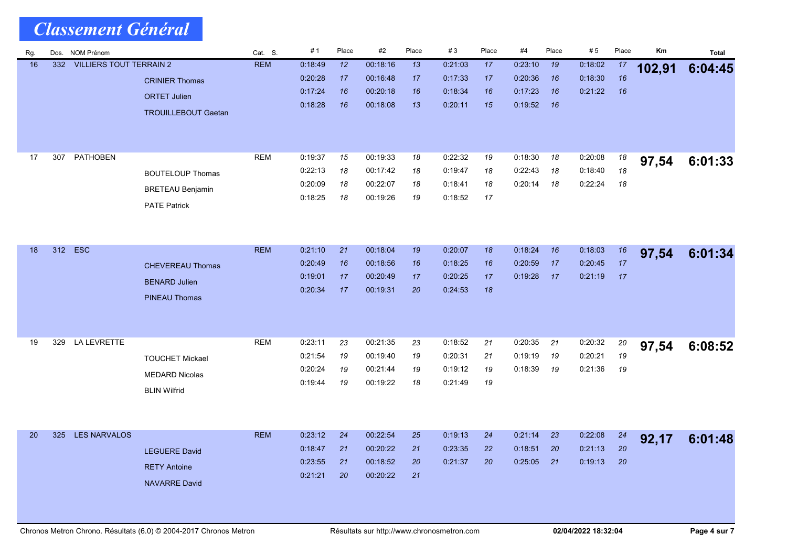| Rg. |     | Dos. NOM Prénom                |                            | Cat. S.    | #1                 | Place    | #2                   | Place    | #3      | Place | #4      | Place | #5      | Place | Km     | <b>Total</b> |
|-----|-----|--------------------------------|----------------------------|------------|--------------------|----------|----------------------|----------|---------|-------|---------|-------|---------|-------|--------|--------------|
| 16  | 332 | <b>VILLIERS TOUT TERRAIN 2</b> |                            | <b>REM</b> | 0:18:49            | 12       | 00:18:16             | 13       | 0:21:03 | 17    | 0:23:10 | 19    | 0:18:02 | 17    | 102,91 | 6:04:45      |
|     |     |                                | <b>CRINIER Thomas</b>      |            | 0.20.28            | 17       | 00:16:48             | 17       | 0:17:33 | 17    | 0.20.36 | 16    | 0:18:30 | 16    |        |              |
|     |     |                                | <b>ORTET Julien</b>        |            | 0:17:24            | 16       | 00:20:18             | 16       | 0:18:34 | 16    | 0:17:23 | 16    | 0:21:22 | 16    |        |              |
|     |     |                                | <b>TROUILLEBOUT Gaetan</b> |            | 0:18:28            | 16       | 00:18:08             | 13       | 0.20.11 | 15    | 0:19:52 | 16    |         |       |        |              |
|     |     |                                |                            |            |                    |          |                      |          |         |       |         |       |         |       |        |              |
|     |     |                                |                            |            |                    |          |                      |          |         |       |         |       |         |       |        |              |
| 17  | 307 | <b>PATHOBEN</b>                |                            | <b>REM</b> | 0:19:37            | 15       | 00:19:33             | 18       | 0:22:32 | 19    | 0:18:30 | 18    | 0:20:08 | 18    |        | 6:01:33      |
|     |     |                                | <b>BOUTELOUP Thomas</b>    |            | 0.22.13            | 18       | 00:17:42             | 18       | 0:19.47 | 18    | 0.22.43 | 18    | 0.18:40 | 18    | 97,54  |              |
|     |     |                                |                            |            | 0.20.09            | 18       | 00:22:07             | 18       | 0:18.41 | 18    | 0:20:14 | 18    | 0:22:24 | 18    |        |              |
|     |     |                                | <b>BRETEAU Benjamin</b>    |            | 0:18:25            | 18       | 00:19:26             | 19       | 0:18:52 | 17    |         |       |         |       |        |              |
|     |     |                                | <b>PATE Patrick</b>        |            |                    |          |                      |          |         |       |         |       |         |       |        |              |
|     |     |                                |                            |            |                    |          |                      |          |         |       |         |       |         |       |        |              |
|     |     |                                |                            |            |                    |          |                      |          |         |       |         |       |         |       |        |              |
| 18  | 312 | <b>ESC</b>                     |                            | <b>REM</b> | 0.21:10            | 21       | 00:18:04             | 19       | 0:20:07 | 18    | 0:18:24 | 16    | 0.18.03 | 16    | 97,54  | 6:01:34      |
|     |     |                                | <b>CHEVEREAU Thomas</b>    |            | 0:20:49            | 16       | 00:18:56             | 16       | 0:18.25 | 16    | 0.20:59 | 17    | 0:20:45 | 17    |        |              |
|     |     |                                | <b>BENARD Julien</b>       |            | 0:19:01            | 17       | 00:20:49             | 17       | 0:20:25 | 17    | 0.19.28 | 17    | 0:21:19 | 17    |        |              |
|     |     |                                | <b>PINEAU Thomas</b>       |            | 0.20.34            | 17       | 00:19:31             | 20       | 0:24:53 | 18    |         |       |         |       |        |              |
|     |     |                                |                            |            |                    |          |                      |          |         |       |         |       |         |       |        |              |
|     |     |                                |                            |            |                    |          |                      |          |         |       |         |       |         |       |        |              |
| 19  | 329 | <b>LA LEVRETTE</b>             |                            | <b>REM</b> | 0:23:11            | 23       | 00:21:35             | 23       | 0:18:52 | 21    | 0:20:35 | 21    | 0:20:32 | 20    | 97,54  | 6:08:52      |
|     |     |                                | <b>TOUCHET Mickael</b>     |            | 0.21.54            | 19       | 00:19:40             | 19       | 0.20.31 | 21    | 0.19.19 | 19    | 0.20.21 | 19    |        |              |
|     |     |                                | <b>MEDARD Nicolas</b>      |            | 0.20.24            | 19       | 00:21:44             | 19       | 0:19:12 | 19    | 0.18.39 | 19    | 0:21:36 | 19    |        |              |
|     |     |                                |                            |            | 0.19.44            | 19       | 00:19:22             | 18       | 0:21:49 | 19    |         |       |         |       |        |              |
|     |     |                                | <b>BLIN Wilfrid</b>        |            |                    |          |                      |          |         |       |         |       |         |       |        |              |
|     |     |                                |                            |            |                    |          |                      |          |         |       |         |       |         |       |        |              |
|     |     |                                |                            |            |                    |          |                      |          |         |       |         |       |         |       |        |              |
| 20  | 325 | <b>LES NARVALOS</b>            |                            | <b>REM</b> | 0:23:12            | 24       | 00:22:54             | 25       | 0:19:13 | 24    | 0:21:14 | 23    | 0:22:08 | 24    | 92,17  | 6:01:48      |
|     |     |                                | <b>LEGUERE David</b>       |            | 0:18:47            | 21       | 00:20:22             | 21       | 0:23:35 | 22    | 0:18:51 | 20    | 0:21:13 | 20    |        |              |
|     |     |                                | <b>RETY Antoine</b>        |            | 0:23:55<br>0.21.21 | 21<br>20 | 00:18:52<br>00:20:22 | 20<br>21 | 0:21:37 | 20    | 0:25:05 | 21    | 0:19:13 | 20    |        |              |
|     |     |                                | <b>NAVARRE David</b>       |            |                    |          |                      |          |         |       |         |       |         |       |        |              |
|     |     |                                |                            |            |                    |          |                      |          |         |       |         |       |         |       |        |              |
|     |     |                                |                            |            |                    |          |                      |          |         |       |         |       |         |       |        |              |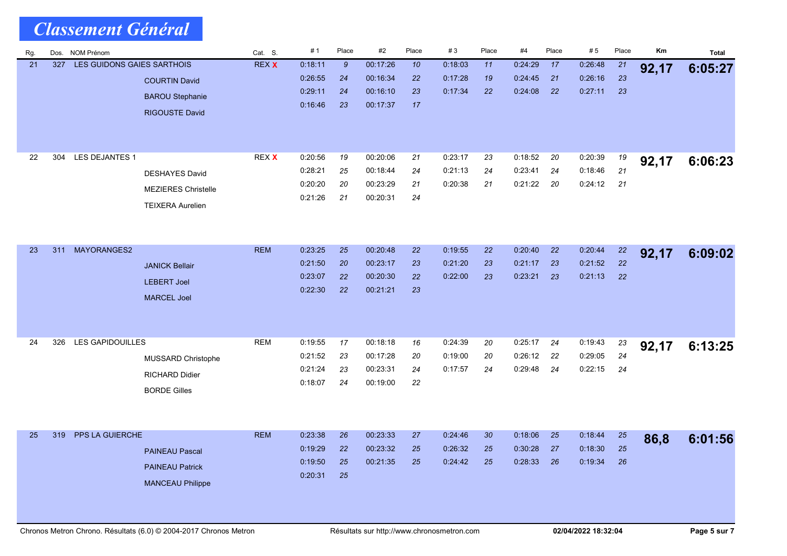|     | <b>Classement Général</b>         |                                                                                |              |                                          |                      |                                              |                      |                               |                |                               |                |                               |                |       |         |
|-----|-----------------------------------|--------------------------------------------------------------------------------|--------------|------------------------------------------|----------------------|----------------------------------------------|----------------------|-------------------------------|----------------|-------------------------------|----------------|-------------------------------|----------------|-------|---------|
| Rg. | Dos. NOM Prénom                   |                                                                                | Cat. S.      | #1                                       | Place                | #2                                           | Place                | #3                            | Place          | #4                            | Place          | #5                            | Place          | Km    | Total   |
| 21  | LES GUIDONS GAIES SARTHOIS<br>327 | <b>COURTIN David</b><br><b>BAROU Stephanie</b><br><b>RIGOUSTE David</b>        | <b>REX X</b> | 0:18:11<br>0:26:55<br>0.29:11<br>0:16:46 | 9<br>24<br>24<br>23  | 00:17:26<br>00:16:34<br>00:16:10<br>00:17:37 | 10<br>22<br>23<br>17 | 0:18:03<br>0.17.28<br>0.17.34 | 11<br>19<br>22 | 0:24:29<br>0:24:45<br>0.24.08 | 17<br>21<br>22 | 0:26:48<br>0:26:16<br>0.27:11 | 21<br>23<br>23 | 92,17 | 6:05:27 |
| 22  | LES DEJANTES 1<br>304             | <b>DESHAYES David</b><br><b>MEZIERES Christelle</b><br><b>TEIXERA Aurelien</b> | REX X        | 0:20:56<br>0.28:21<br>0:20:20<br>0.21:26 | 19<br>25<br>20<br>21 | 00:20:06<br>00:18:44<br>00:23:29<br>00:20:31 | 21<br>24<br>21<br>24 | 0:23:17<br>0:21:13<br>0:20:38 | 23<br>24<br>21 | 0:18:52<br>0:23:41<br>0:21:22 | 20<br>24<br>20 | 0:20:39<br>0:18:46<br>0:24:12 | 19<br>21<br>21 | 92,17 | 6:06:23 |
| 23  | MAYORANGES2<br>311                | <b>JANICK Bellair</b><br><b>LEBERT Joel</b><br><b>MARCEL Joel</b>              | <b>REM</b>   | 0:23:25<br>0:21:50<br>0:23:07<br>0.22:30 | 25<br>20<br>22<br>22 | 00:20:48<br>00:23:17<br>00:20:30<br>00:21:21 | 22<br>23<br>22<br>23 | 0:19:55<br>0.21:20<br>0:22:00 | 22<br>23<br>23 | 0:20:40<br>0:21:17<br>0:23:21 | 22<br>23<br>23 | 0:20:44<br>0.21:52<br>0.21.13 | 22<br>22<br>22 | 92,17 | 6:09:02 |
| 24  | <b>LES GAPIDOUILLES</b><br>326    | MUSSARD Christophe<br><b>RICHARD Didier</b><br><b>BORDE Gilles</b>             | <b>REM</b>   | 0:19:55<br>0:21:52<br>0:21:24<br>0:18:07 | 17<br>23<br>23<br>24 | 00:18:18<br>00:17:28<br>00:23:31<br>00:19:00 | 16<br>20<br>24<br>22 | 0:24:39<br>0:19:00<br>0:17:57 | 20<br>20<br>24 | 0:25:17<br>0:26:12<br>0:29:48 | 24<br>22<br>24 | 0:19:43<br>0:29:05<br>0:22:15 | 23<br>24<br>24 | 92,17 | 6:13:25 |
| 25  | PPS LA GUIERCHE<br>319            | <b>PAINEAU Pascal</b><br><b>PAINEAU Patrick</b><br><b>MANCEAU Philippe</b>     | <b>REM</b>   | 0:23:38<br>0:19:29<br>0:19:50<br>0:20:31 | 26<br>22<br>25<br>25 | 00:23:33<br>00:23:32<br>00:21:35             | 27<br>25<br>25       | 0.24.46<br>0.26:32<br>0:24:42 | 30<br>25<br>25 | 0.18.06<br>0:30:28<br>0:28:33 | 25<br>27<br>26 | 0:18:44<br>0:18:30<br>0:19:34 | 25<br>25<br>26 | 86,8  | 6:01:56 |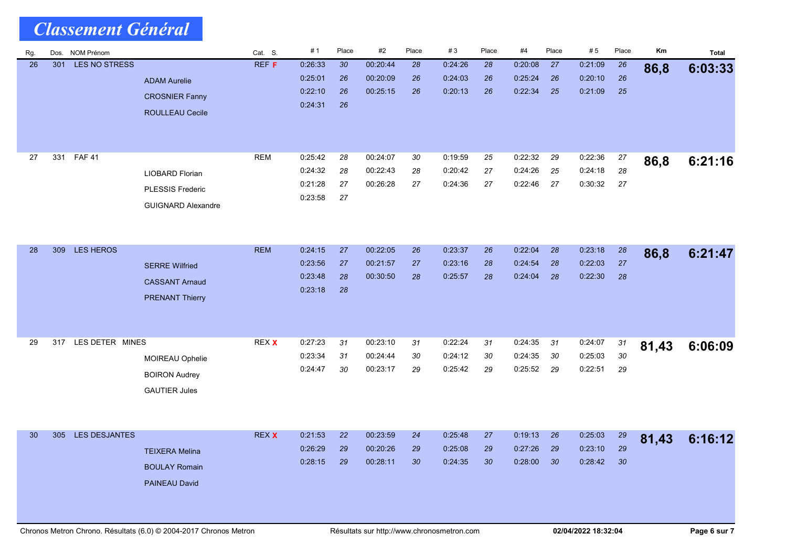|     | <b>Classement Général</b> |                      |                                                                          |              |                                          |                                   |                                  |                             |                               |                             |                               |                |                               |                    |       |         |
|-----|---------------------------|----------------------|--------------------------------------------------------------------------|--------------|------------------------------------------|-----------------------------------|----------------------------------|-----------------------------|-------------------------------|-----------------------------|-------------------------------|----------------|-------------------------------|--------------------|-------|---------|
| Rg. |                           | Dos. NOM Prénom      |                                                                          | Cat. S.      | #1                                       | Place                             | #2                               | Place                       | #3                            | Place                       | #4                            | Place          | #5                            | Place              | Km    | Total   |
| 26  | 301                       | <b>LES NO STRESS</b> | <b>ADAM Aurelie</b><br><b>CROSNIER Fanny</b><br><b>ROULLEAU Cecile</b>   | REF F        | 0:26:33<br>0.25.01<br>0.22:10<br>0.24.31 | 30 <sub>o</sub><br>26<br>26<br>26 | 00:20:44<br>00:20:09<br>00:25:15 | 28<br>26<br>26              | 0 24 26<br>0.24.03<br>0.20.13 | 28<br>26<br>26              | 0.20:08<br>0.25:24<br>0.22:34 | 27<br>26<br>25 | 0:21:09<br>0:20:10<br>0.21:09 | 26<br>26<br>25     | 86,8  | 6:03:33 |
| 27  | 331                       | <b>FAF 41</b>        | LIOBARD Florian<br><b>PLESSIS Frederic</b><br><b>GUIGNARD Alexandre</b>  | <b>REM</b>   | 0.25.42<br>0:24:32<br>0:21:28<br>0:23:58 | 28<br>28<br>27<br>27              | 00:24:07<br>00:22:43<br>00:26:28 | 30<br>28<br>27              | 0:19:59<br>0.20.42<br>0:24:36 | 25<br>27<br>27              | 0:22:32<br>0:24:26<br>0:22:46 | 29<br>25<br>27 | 0:22:36<br>0:24:18<br>0:30:32 | 27<br>28<br>27     | 86,8  | 6:21:16 |
| 28  | 309                       | <b>LES HEROS</b>     | <b>SERRE Wilfried</b><br><b>CASSANT Arnaud</b><br><b>PRENANT Thierry</b> | <b>REM</b>   | 0:24:15<br>0.23:56<br>0:23:48<br>0.23:18 | 27<br>27<br>28<br>28              | 00:22:05<br>00:21:57<br>00:30:50 | 26<br>27<br>28              | 0.23:37<br>0.23:16<br>0.25:57 | 26<br>28<br>28              | 0:22:04<br>0:24:54<br>0:24:04 | 28<br>28<br>28 | 0.23.18<br>0.22:03<br>0.22:30 | $28\,$<br>27<br>28 | 86,8  | 6:21:47 |
| 29  | 317                       | LES DETER MINES      | MOIREAU Ophelie<br><b>BOIRON Audrey</b><br><b>GAUTIER Jules</b>          | REX X        | 0:27:23<br>0:23:34<br>0:24:47            | 31<br>31<br>30                    | 00:23:10<br>00:24:44<br>00:23:17 | 31<br>30<br>29              | 0:22:24<br>0:24:12<br>0:25:42 | 31<br>30<br>29              | 0:24:35<br>0:24:35<br>0:25:52 | 31<br>30<br>29 | 0:24:07<br>0:25:03<br>0:22:51 | 31<br>$30\,$<br>29 | 81,43 | 6:06:09 |
| 30  | 305                       | LES DESJANTES        | <b>TEIXERA Melina</b><br><b>BOULAY Romain</b><br>PAINEAU David           | <b>REX X</b> | 0:21:53<br>0.26.29<br>0:28:15            | 22<br>29<br>29                    | 00:23:59<br>00:20:26<br>00:28:11 | 24<br>29<br>30 <sub>o</sub> | 0.25.48<br>0:25:08<br>0:24:35 | 27<br>29<br>30 <sub>o</sub> | 0.19.13<br>0:27:26<br>0:28:00 | 26<br>29<br>30 | 0:25:03<br>0:23:10<br>0.28.42 | 29<br>29<br>30     | 81,43 | 6:16:12 |